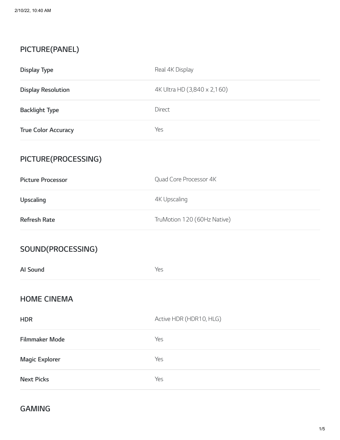## **PICTURE(PANEL)**

| <b>Display Type</b>        | Real 4K Display             |
|----------------------------|-----------------------------|
| <b>Display Resolution</b>  | 4K Ultra HD (3,840 x 2,160) |
| <b>Backlight Type</b>      | Direct                      |
| <b>True Color Accuracy</b> | Yes                         |
| PICTURE(PROCESSING)        |                             |
| <b>Picture Processor</b>   | Quad Core Processor 4K      |
| Upscaling                  | <b>4K Upscaling</b>         |
| <b>Refresh Rate</b>        | TruMotion 120 (60Hz Native) |
| SOUND(PROCESSING)          |                             |
| Al Sound                   | Yes                         |
| <b>HOME CINEMA</b>         |                             |
| <b>HDR</b>                 | Active HDR (HDR10, HLG)     |
| <b>Filmmaker Mode</b>      | Yes                         |
| <b>Magic Explorer</b>      | Yes                         |
| <b>Next Picks</b>          | Yes                         |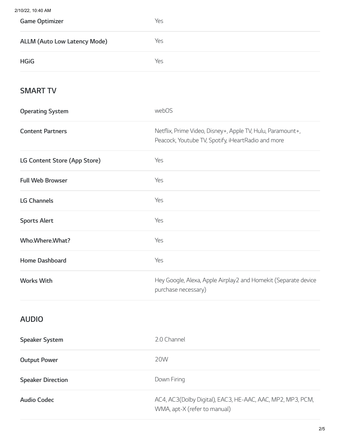$2/1$ 

| 10/22, 10:40 AM                     |                                                                                                                  |
|-------------------------------------|------------------------------------------------------------------------------------------------------------------|
| <b>Game Optimizer</b>               | Yes                                                                                                              |
| <b>ALLM (Auto Low Latency Mode)</b> | Yes                                                                                                              |
| <b>HGiG</b>                         | Yes                                                                                                              |
| <b>SMART TV</b>                     |                                                                                                                  |
| <b>Operating System</b>             | webOS                                                                                                            |
| <b>Content Partners</b>             | Netflix, Prime Video, Disney+, Apple TV, Hulu, Paramount+,<br>Peacock, Youtube TV, Spotify, iHeartRadio and more |
| LG Content Store (App Store)        | Yes                                                                                                              |
| <b>Full Web Browser</b>             | Yes                                                                                                              |
| <b>LG Channels</b>                  | Yes                                                                                                              |
| <b>Sports Alert</b>                 | Yes                                                                                                              |
| Who.Where.What?                     | Yes                                                                                                              |
| Home Dashboard                      | Yes                                                                                                              |
| <b>Works With</b>                   | Hey Google, Alexa, Apple Airplay2 and Homekit (Separate device<br>purchase necessary)                            |
|                                     |                                                                                                                  |

### **AUDIO**

| <b>Speaker System</b>    | 2.0 Channel                                                                                |
|--------------------------|--------------------------------------------------------------------------------------------|
| <b>Output Power</b>      | 20W                                                                                        |
| <b>Speaker Direction</b> | Down Firing                                                                                |
| Audio Codec              | AC4, AC3(Dolby Digital), EAC3, HE-AAC, AAC, MP2, MP3, PCM,<br>WMA, apt-X (refer to manual) |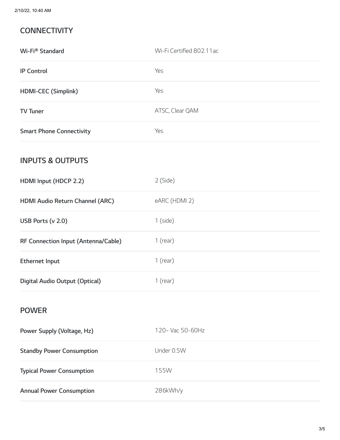#### **CONNECTIVITY**

| Wi-Fi® Standard                     | Wi-Fi Certified 802.11ac |
|-------------------------------------|--------------------------|
| <b>IP Control</b>                   | Yes                      |
| HDMI-CEC (Simplink)                 | Yes                      |
| <b>TV Tuner</b>                     | ATSC, Clear QAM          |
| <b>Smart Phone Connectivity</b>     | Yes                      |
| <b>INPUTS &amp; OUTPUTS</b>         |                          |
| HDMI Input (HDCP 2.2)               | 2 (Side)                 |
| HDMI Audio Return Channel (ARC)     | eARC (HDMI 2)            |
| USB Ports (v 2.0)                   | $1$ (side)               |
| RF Connection Input (Antenna/Cable) | $1$ (rear)               |
| <b>Ethernet Input</b>               | $1$ (rear)               |
| Digital Audio Output (Optical)      | $1$ (rear)               |
| <b>POWER</b>                        |                          |
| Power Supply (Voltage, Hz)          | 120~ Vac 50-60Hz         |
| <b>Standby Power Consumption</b>    | Under 0.5W               |
| <b>Typical Power Consumption</b>    | 155W                     |
| <b>Annual Power Consumption</b>     | 286kWh/y                 |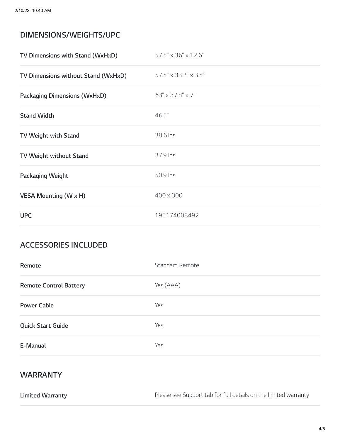#### **DIMENSIONS/WEIGHTS/UPC**

| TV Dimensions with Stand (WxHxD)    | 57.5" x 36" x 12.6"  |
|-------------------------------------|----------------------|
| TV Dimensions without Stand (WxHxD) | 57.5" x 33.2" x 3.5" |
| <b>Packaging Dimensions (WxHxD)</b> | 63" x 37.8" x 7"     |
| <b>Stand Width</b>                  | 46.5"                |
| TV Weight with Stand                | 38.6 lbs             |
| TV Weight without Stand             | 37.9 lbs             |
| Packaging Weight                    | 50.9 lbs             |
| <b>VESA Mounting (W x H)</b>        | 400 x 300            |
| <b>UPC</b>                          | 195174008492         |

#### **ACCESSORIES INCLUDED**

| Remote                        | <b>Standard Remote</b> |
|-------------------------------|------------------------|
| <b>Remote Control Battery</b> | Yes (AAA)              |
| <b>Power Cable</b>            | Yes                    |
| <b>Quick Start Guide</b>      | Yes                    |
| E-Manual                      | Yes                    |

#### **WARRANTY**

**Limited Warranty** Please see Support tab for full details on the limited warranty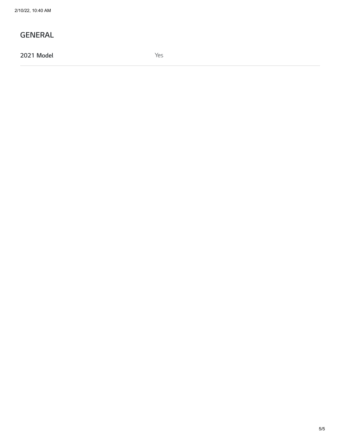#### **GENERAL**

**2021 Model** Yes